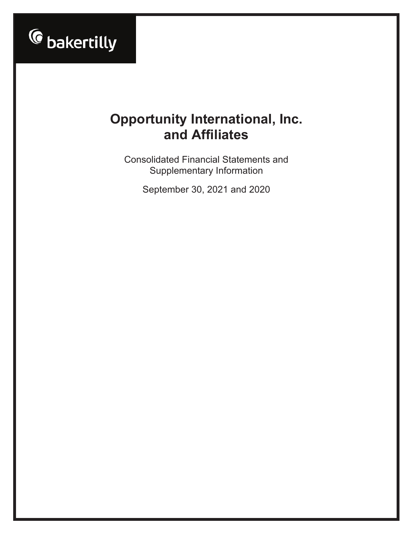

Consolidated Financial Statements and Supplementary Information

September 30, 2021 and 2020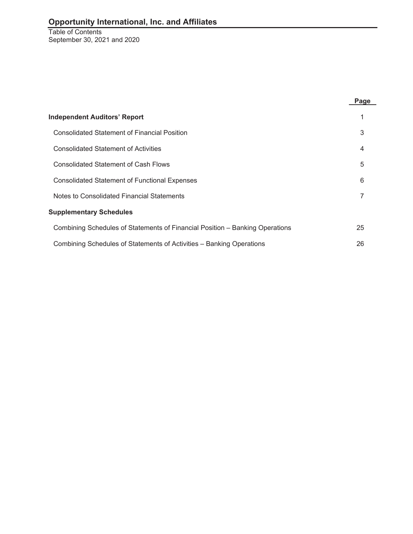Table of Contents September 30, 2021 and 2020

|                                                                              | Page |
|------------------------------------------------------------------------------|------|
| <b>Independent Auditors' Report</b>                                          |      |
| <b>Consolidated Statement of Financial Position</b>                          | 3    |
| <b>Consolidated Statement of Activities</b>                                  | 4    |
| <b>Consolidated Statement of Cash Flows</b>                                  | 5    |
| <b>Consolidated Statement of Functional Expenses</b>                         | 6    |
| Notes to Consolidated Financial Statements                                   |      |
| <b>Supplementary Schedules</b>                                               |      |
| Combining Schedules of Statements of Financial Position - Banking Operations | 25   |
| Combining Schedules of Statements of Activities - Banking Operations         | 26   |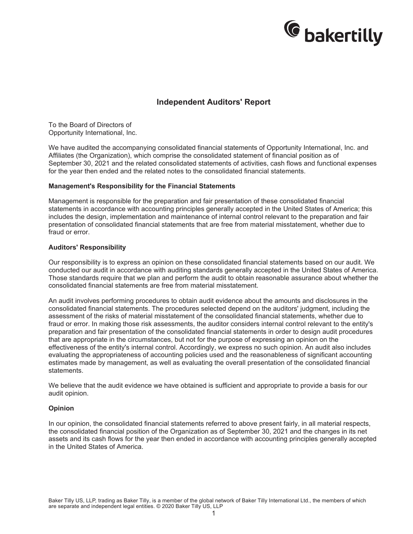

# **Independent Auditors' Report**

To the Board of Directors of Opportunity International, Inc.

We have audited the accompanying consolidated financial statements of Opportunity International, Inc. and Affiliates (the Organization), which comprise the consolidated statement of financial position as of September 30, 2021 and the related consolidated statements of activities, cash flows and functional expenses for the year then ended and the related notes to the consolidated financial statements.

### **Management's Responsibility for the Financial Statements**

Management is responsible for the preparation and fair presentation of these consolidated financial statements in accordance with accounting principles generally accepted in the United States of America; this includes the design, implementation and maintenance of internal control relevant to the preparation and fair presentation of consolidated financial statements that are free from material misstatement, whether due to fraud or error.

#### **Auditors' Responsibility**

Our responsibility is to express an opinion on these consolidated financial statements based on our audit. We conducted our audit in accordance with auditing standards generally accepted in the United States of America. Those standards require that we plan and perform the audit to obtain reasonable assurance about whether the consolidated financial statements are free from material misstatement.

An audit involves performing procedures to obtain audit evidence about the amounts and disclosures in the consolidated financial statements. The procedures selected depend on the auditors' judgment, including the assessment of the risks of material misstatement of the consolidated financial statements, whether due to fraud or error. In making those risk assessments, the auditor considers internal control relevant to the entity's preparation and fair presentation of the consolidated financial statements in order to design audit procedures that are appropriate in the circumstances, but not for the purpose of expressing an opinion on the effectiveness of the entity's internal control. Accordingly, we express no such opinion. An audit also includes evaluating the appropriateness of accounting policies used and the reasonableness of significant accounting estimates made by management, as well as evaluating the overall presentation of the consolidated financial statements.

We believe that the audit evidence we have obtained is sufficient and appropriate to provide a basis for our audit opinion.

### **Opinion**

In our opinion, the consolidated financial statements referred to above present fairly, in all material respects, the consolidated financial position of the Organization as of September 30, 2021 and the changes in its net assets and its cash flows for the year then ended in accordance with accounting principles generally accepted in the United States of America.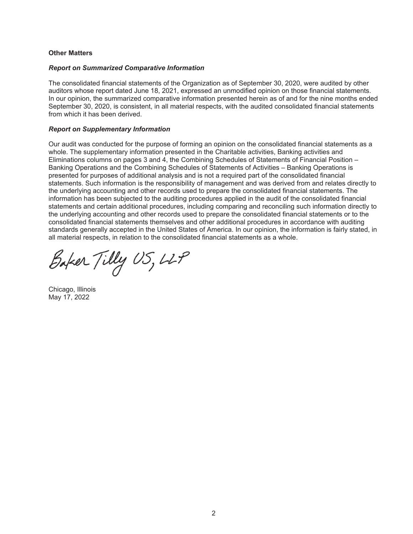### **Other Matters**

### *Report on Summarized Comparative Information*

The consolidated financial statements of the Organization as of September 30, 2020, were audited by other auditors whose report dated June 18, 2021, expressed an unmodified opinion on those financial statements. In our opinion, the summarized comparative information presented herein as of and for the nine months ended September 30, 2020, is consistent, in all material respects, with the audited consolidated financial statements from which it has been derived.

### *Report on Supplementary Information*

Our audit was conducted for the purpose of forming an opinion on the consolidated financial statements as a whole. The supplementary information presented in the Charitable activities, Banking activities and Eliminations columns on pages 3 and 4, the Combining Schedules of Statements of Financial Position – Banking Operations and the Combining Schedules of Statements of Activities – Banking Operations is presented for purposes of additional analysis and is not a required part of the consolidated financial statements. Such information is the responsibility of management and was derived from and relates directly to the underlying accounting and other records used to prepare the consolidated financial statements. The information has been subjected to the auditing procedures applied in the audit of the consolidated financial statements and certain additional procedures, including comparing and reconciling such information directly to the underlying accounting and other records used to prepare the consolidated financial statements or to the consolidated financial statements themselves and other additional procedures in accordance with auditing standards generally accepted in the United States of America. In our opinion, the information is fairly stated, in all material respects, in relation to the consolidated financial statements as a whole.

Baker Tilly US, LLP

Chicago, Illinois May 17, 2022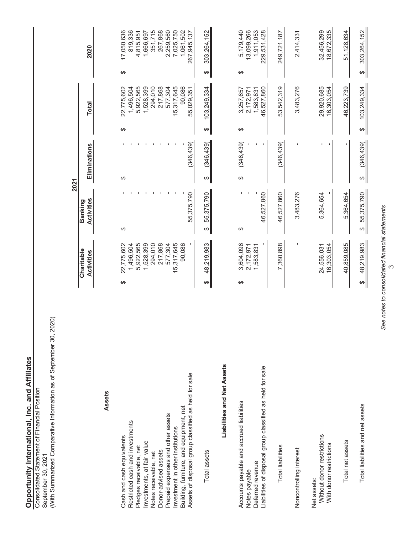**Opportunity International, Inc. and Affiliates**<br>Consolidated Statement of Financial Position<br>September 30, 2021<br>(With Summarized Comparative Information as of September 30, 2020) **Opportunity International, Inc. and Affiliates** Consolidated Statement of Financial Position

September 30, 2021 (With Summarized Comparative Information as of September 30, 2020)

|                                                                                                                                                                                                                                                                                                                                                    |                                                                                                                      |                       | 2021             |                                                                                    |                                         |                                                                                                                                       |  |
|----------------------------------------------------------------------------------------------------------------------------------------------------------------------------------------------------------------------------------------------------------------------------------------------------------------------------------------------------|----------------------------------------------------------------------------------------------------------------------|-----------------------|------------------|------------------------------------------------------------------------------------|-----------------------------------------|---------------------------------------------------------------------------------------------------------------------------------------|--|
|                                                                                                                                                                                                                                                                                                                                                    | Charitable<br>Activities                                                                                             | Activities<br>Banking | Eliminations     | <b>Total</b>                                                                       |                                         | 2020                                                                                                                                  |  |
| Assets                                                                                                                                                                                                                                                                                                                                             |                                                                                                                      |                       |                  |                                                                                    |                                         |                                                                                                                                       |  |
| Assets of disposal group classified as held for sale<br>Building, furniture, and equipment, net<br>Prepaid expenses and other assets<br>Restricted cash and investments<br>Investment in other institutions<br>Cash and cash equivalents<br>Investments, at fair value<br>Pledges receivable, net<br>Donor-advised assets<br>Notes receivable, net | ٠<br>5,922,565<br>1,528,399<br>294,010<br>217,868<br>577,304<br>15,317,645<br>90,086<br>1,496,504<br>22,775,602<br>↔ | 55,375,790<br>↔       | (346, 439)<br>↔  | 15,317,645<br>22,775,602<br>1,496,504<br>5,922,565<br>1,528,399<br>55,029,351<br>↔ | 90,086<br>294,010<br>217,868<br>577,304 | 819,336<br>351,715<br>267,868<br>2,259,560<br>7,025,750<br>17,050,636<br>1,061,502<br>,945,137<br>1,666,697<br>4,815,951<br>267.<br>↔ |  |
| Total assets                                                                                                                                                                                                                                                                                                                                       | 48,219,983<br>↮                                                                                                      | 55,375,790<br>↮       | (346, 439)<br>↮  | 103,249,334<br>↮                                                                   |                                         | 303,264,152<br>↮                                                                                                                      |  |
| Liabilities and Net Assets                                                                                                                                                                                                                                                                                                                         |                                                                                                                      |                       |                  |                                                                                    |                                         |                                                                                                                                       |  |
| Liabilities of disposal group classified as held for sale<br>Accounts payable and accrued liabilities<br>Deferred revenue<br>Notes payable                                                                                                                                                                                                         | ı<br>3,604,096<br>2,172,971<br>1,583,831<br>↔                                                                        | ı<br>46,527,860<br>↔  | (346, 439)<br>↔  | 46,527,860<br>3,257,657<br>1,583,831<br>2,172,971<br>↮                             |                                         | 5,179,440<br>13,099,266<br>1,911,053<br>229,531,428<br>↔                                                                              |  |
| <b>Total liabilities</b>                                                                                                                                                                                                                                                                                                                           | 7,360,898                                                                                                            | 46,527,860            | (346, 439)       | 53,542,319                                                                         |                                         | 249,721,187                                                                                                                           |  |
| Noncontrolling interest                                                                                                                                                                                                                                                                                                                            | ı                                                                                                                    | 3.483.276             | I.               | 3,483,276                                                                          |                                         | 2.414.331                                                                                                                             |  |
| Without donor restrictions<br>With donor restrictions<br>Net assets:                                                                                                                                                                                                                                                                               | 16,303,054<br>24,556,031                                                                                             | 5,364,654             | ı<br>1           | 29,920,685<br>16,303,054                                                           |                                         | 32,456,299<br>18,672,335                                                                                                              |  |
| Total net assets                                                                                                                                                                                                                                                                                                                                   | 40,859,085                                                                                                           | 5,364,654             | $\blacksquare$   | 46,223,739                                                                         |                                         | 51,128,634                                                                                                                            |  |
| Total liabilities and net assets                                                                                                                                                                                                                                                                                                                   | 48,219,983<br>↔                                                                                                      | 55,375,790<br>↔       | (346, 439)<br>⊕∥ | 103,249,334<br>↮                                                                   |                                         | 303,264,152<br>↔                                                                                                                      |  |

See notes to consolidated financial statements *See notes to consolidated financial statements*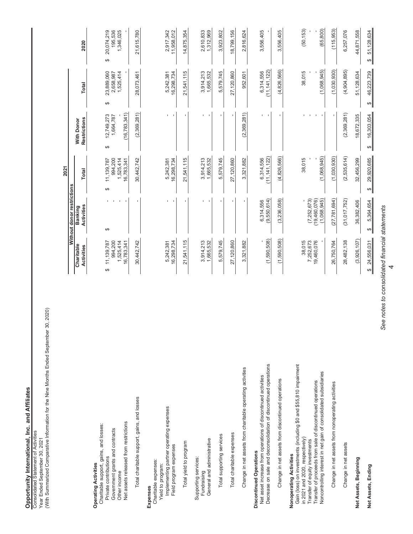Opportunity International, Inc. and Affiliates<br>Consolidated Statement of Activities<br>Year Ended September 30, 2021<br>(With Summarized Comparative Information for the Nine Months Ended September 30, 2020) (With Summarized Comparative Information for the Nine Months Ended September 30, 2020) Consolidated Statement of Activities Year Ended September 30, 2021

|                                                                                                                                                                                                                                                                                                    |                                                         |                                            | 2021                                                  |                                                  |                                           |                                                |
|----------------------------------------------------------------------------------------------------------------------------------------------------------------------------------------------------------------------------------------------------------------------------------------------------|---------------------------------------------------------|--------------------------------------------|-------------------------------------------------------|--------------------------------------------------|-------------------------------------------|------------------------------------------------|
|                                                                                                                                                                                                                                                                                                    |                                                         | Without donor restrictions                 |                                                       |                                                  |                                           |                                                |
|                                                                                                                                                                                                                                                                                                    | Charitable<br>Activities                                | Activities<br>Banking                      | <b>Total</b>                                          | Restrictions<br>With Donor                       | Total                                     | 2020                                           |
| Net assets released from restrictions<br>Charitable support, gains, and losses:<br>Government grants and contracts<br>Private contributions<br><b>Operating Activities</b><br>Other income                                                                                                         | 994,200<br>1,525,414<br>11, 139, 787<br>16,783,341<br>↔ | $\blacksquare$<br>↮                        | 994,200<br>1,525,414<br>16,783,341<br>11,139,787<br>↔ | (16, 783, 341)<br>12,749,273<br>1,664,787<br>↮   | 1,525,414<br>23,889,060<br>2,658,987<br>↮ | 1,346,025<br>20,074,219<br>195,536<br>$\Theta$ |
| Total charitable support, gains, and losses                                                                                                                                                                                                                                                        | 30, 442, 742                                            |                                            | 30,442,742                                            | (2,369,281)                                      | 28,073,461                                | 21,615,780                                     |
| Implementing partner operating expenses<br>Field program expenses<br>Charitable expenses:<br>Yield to program:<br>Expenses                                                                                                                                                                         | 16,298,734<br>5,242,381                                 | ٠                                          | 16,298,734<br>5,242,381                               | ٠<br>J.                                          | 5,242,381<br>16,298,734                   | 2,917,342<br>11,958,012                        |
| Total yield to program                                                                                                                                                                                                                                                                             | 21,541,115                                              | ٠                                          | 21,541,115                                            | ٠                                                | 21,541,115                                | 14,875,354                                     |
| General and administrative<br>Supporting services:<br>Fundraising                                                                                                                                                                                                                                  | 3,914,213<br>1,665,532                                  | ٠                                          | 3,914,213<br>1,665,532                                | ı                                                | 3,914,213<br>1,665,532                    | 2,610,833<br>1,312,969                         |
| Total supporting services                                                                                                                                                                                                                                                                          | 5,579,745                                               |                                            | 5,579,745                                             |                                                  | 5,579,745                                 | 3,923,802                                      |
| Total charitable expenses                                                                                                                                                                                                                                                                          | 27,120,860                                              | ٠                                          | 27,120,860                                            | J.                                               | 27,120,860                                | 18,799,156                                     |
| Change in net assets from charitable operating activities                                                                                                                                                                                                                                          | 3,321,882                                               | f,                                         | 3,321,882                                             | (2,369,281)                                      | 952,601                                   | 2,816,624                                      |
| Decrease on sale and deconsolidation of discontinued operations<br>Net asset increase from operations of discontinued activities<br>Discontinued Operations                                                                                                                                        | (1,590,508)                                             | (9,550,614)<br>6,314,556                   | (11, 141, 122)<br>6,314,556                           | ×<br>٠                                           | (11, 141, 122)<br>6,314,556               | 3,556,405                                      |
| Change in net assets from discontinued operations                                                                                                                                                                                                                                                  | (1,590,508)                                             | (3,236,058)                                | (4,826,566)                                           |                                                  | (4,826,566)                               | 3,556,405                                      |
| Gain (loss) on investments (including \$0 and \$55,810 impairment<br>Noncontrolling interest in net gain of consolidated subsidiaries<br>Transfer of proceeds from sale of discontinued operations<br>in 2021 and 2020, respectively)<br>Transfer of equity investments<br>Nonoperating Activities | 38,015<br>7,252,673<br>19,460,076                       | (7,252,673)<br>(19,460,076)<br>(1,068,945) | (1,068,945)<br>38,015                                 | $\blacksquare$<br>$\mathbf{I}$<br>$\blacksquare$ | (1,068,945)<br>38,015                     | (50, 153)<br>(65, 800)                         |
| Change in net assets from nonoperating activities                                                                                                                                                                                                                                                  | 26,750,764                                              | (27, 781, 694)                             | (1,030,930)                                           | $\mathbf{I}$                                     | (1,030,930)                               | (115, 953)                                     |
| Change in net assets                                                                                                                                                                                                                                                                               | 28,482,138                                              | (31, 017, 752)                             | (2,535,614)                                           | (2,369,281)                                      | (4,904,895)                               | 6,257,076                                      |
| Net Assets, Beginning                                                                                                                                                                                                                                                                              | (3,926,107)                                             | 36,382,406                                 | 32,456,299                                            | 18,672,335                                       | 51,128,634                                | 44,871,558                                     |
| Net Assets, Ending                                                                                                                                                                                                                                                                                 | \$24,556,031                                            | 5,364,654<br>⇔∥                            | 29,920,685<br>⇔∥                                      | 16,303,054<br>$\bigcirc$                         | 46,223,739<br>⇔∣                          | 51,128,634<br>⇔∥                               |

See notes to consolidated financial statements *See notes to consolidated financial statements*

4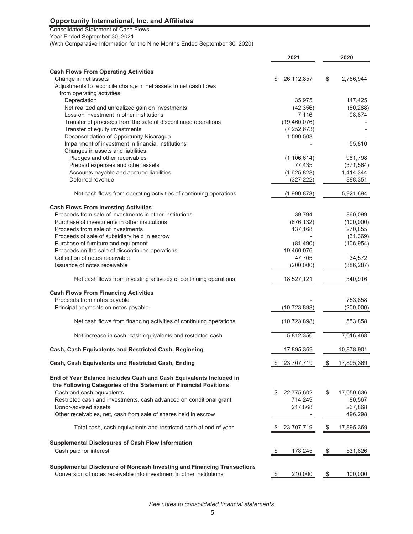# Consolidated Statement of Cash Flows Year Ended September 30, 2021

(With Comparative Information for the Nine Months Ended September 30, 2020)

|                                                                                         | 2021             | 2020             |
|-----------------------------------------------------------------------------------------|------------------|------------------|
|                                                                                         |                  |                  |
| <b>Cash Flows From Operating Activities</b>                                             |                  |                  |
| Change in net assets<br>Adjustments to reconcile change in net assets to net cash flows | 26,112,857<br>\$ | 2,786,944<br>\$  |
| from operating activities:                                                              |                  |                  |
| Depreciation                                                                            | 35,975           | 147,425          |
| Net realized and unrealized gain on investments                                         | (42, 356)        | (80, 288)        |
| Loss on investment in other institutions                                                | 7,116            | 98,874           |
| Transfer of proceeds from the sale of discontinued operations                           | (19,460,076)     |                  |
| Transfer of equity investments                                                          | (7, 252, 673)    |                  |
| Deconsolidation of Opportunity Nicaragua                                                | 1,590,508        |                  |
| Impairment of investment in financial institutions                                      |                  | 55,810           |
| Changes in assets and liabilities:                                                      |                  |                  |
| Pledges and other receivables                                                           | (1, 106, 614)    | 981,798          |
| Prepaid expenses and other assets                                                       | 77,435           | (371, 564)       |
| Accounts payable and accrued liabilities                                                | (1,625,823)      | 1,414,344        |
| Deferred revenue                                                                        | (327, 222)       | 888,351          |
|                                                                                         |                  |                  |
| Net cash flows from operating activities of continuing operations                       | (1,990,873)      | 5,921,694        |
| <b>Cash Flows From Investing Activities</b>                                             |                  |                  |
| Proceeds from sale of investments in other institutions                                 | 39,794           | 860,099          |
| Purchase of investments in other institutions                                           | (876, 132)       | (100,000)        |
| Proceeds from sale of investments                                                       | 137,168          | 270,855          |
| Proceeds of sale of subsidiary held in escrow                                           |                  | (31, 369)        |
| Purchase of furniture and equipment                                                     | (81, 490)        | (106, 954)       |
| Proceeds on the sale of discontinued operations                                         | 19,460,076       |                  |
| Collection of notes receivable                                                          | 47,705           | 34,572           |
| Issuance of notes receivable                                                            | (200,000)        | (386, 287)       |
| Net cash flows from investing activities of continuing operations                       | 18,527,121       | 540,916          |
| <b>Cash Flows From Financing Activities</b>                                             |                  |                  |
| Proceeds from notes payable                                                             |                  | 753,858          |
| Principal payments on notes payable                                                     | (10, 723, 898)   | (200,000)        |
|                                                                                         |                  |                  |
| Net cash flows from financing activities of continuing operations                       | (10, 723, 898)   | 553,858          |
| Net increase in cash, cash equivalents and restricted cash                              | 5,812,350        | 7,016,468        |
| Cash, Cash Equivalents and Restricted Cash, Beginning                                   | 17,895,369       | 10,878,901       |
|                                                                                         |                  |                  |
| Cash, Cash Equivalents and Restricted Cash, Ending                                      | \$<br>23,707,719 | \$<br>17,895,369 |
| End of Year Balance Includes Cash and Cash Equivalents Included in                      |                  |                  |
| the Following Categories of the Statement of Financial Positions                        |                  |                  |
| Cash and cash equivalents                                                               | \$<br>22,775,602 | \$<br>17,050,636 |
| Restricted cash and investments, cash advanced on conditional grant                     | 714,249          | 80,567           |
| Donor-advised assets                                                                    | 217,868          | 267,868          |
| Other receivables, net, cash from sale of shares held in escrow                         |                  | 496,298          |
| Total cash, cash equivalents and restricted cash at end of year                         | \$<br>23,707,719 | \$<br>17,895,369 |
|                                                                                         |                  |                  |
| <b>Supplemental Disclosures of Cash Flow Information</b><br>Cash paid for interest      | \$<br>178,245    | \$<br>531,826    |
|                                                                                         |                  |                  |
| Supplemental Disclosure of Noncash Investing and Financing Transactions                 |                  |                  |
| Conversion of notes receivable into investment in other institutions                    | 210,000<br>\$    | 100,000<br>\$    |
|                                                                                         |                  |                  |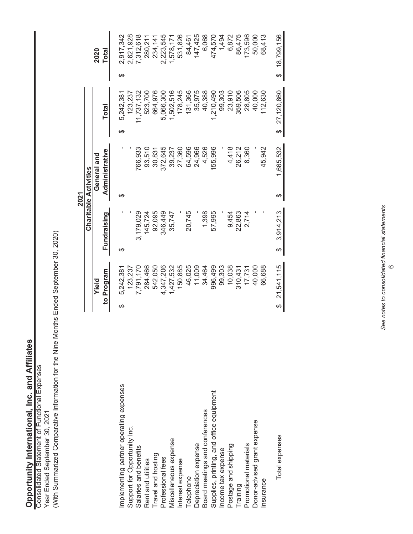Consolidated Statement of Functional Expenses Year Ended September 30, 2021

**Opportunity International, Inc. and Affiliates**<br>Consolidated Statement of Functional Expenses<br>Year Ended September 30, 2021<br>(With Summarized Comparative Information for the Nine Months Ended September 30, 2020) (With Summarized Comparative Information for the Nine Months Ended September 30, 2020)

|                                          |                |                | 2021                         |                |   |           |
|------------------------------------------|----------------|----------------|------------------------------|----------------|---|-----------|
|                                          |                |                | <b>Charitable Activities</b> |                |   |           |
|                                          | Yield          |                | General and                  |                |   | 2020      |
|                                          | to Program     | Fundraising    | Administrative               | Total          |   | Total     |
| mplementing partner operating expenses   | 5,242,381<br>ക | ക              | ക                            | 5,242,381<br>ക | ക | 2,917,342 |
| Support for Opportunity Inc.             | 123,237        |                |                              | 123,237        |   | 2,621,928 |
| Salaries and benefits                    | 7,791,170      | 3,179,029      | 766.933                      | 11,737,132     |   | 7,312,618 |
| Rent and utilities                       | 284,466        | 145,724        | 93,510                       | 523,700        |   | 280,21    |
| Travel and hosting                       | 542,050        | 92,095         | 30,831                       | 664,976        |   | 234,141   |
| Professional fees                        | 4,347,206      | 346,449        | 372,645                      | 5,066,300      |   | 2,223,545 |
| Miscellaneous expense                    | 1,427,532      | 35,747         | 39,237                       | 1,502,516      |   | 1,578,17  |
| Interest expense                         | 150,885        |                | 27,360                       | 178,245        |   | 531,826   |
| Telephone                                | 46,025         | 20,745         | 64,596                       | 131,366        |   | 84,461    |
| <b>Depreciation expense</b>              | 11,009         |                | 24,966                       | 35,975         |   | 147,425   |
| Board meetings and conferences           | 34,464         | 1,398          | 4,526                        | 40,388         |   | 6,068     |
| Supplies, printing, and office equipment | 996,499        | 57,995         | 155,996                      | 1,210,490      |   | 474,570   |
| Income tax expense                       | 99,303         |                |                              | 99,303         |   | 1,494     |
| Postage and shipping                     | 10,038         | 9,454          | 4,418                        | 23,910         |   | 6,872     |
| Training                                 | 310,431        | 22,863         | 26,212                       | 359,506        |   | 86,475    |
| Promotional materials                    | 17,731         | 2,714          | 8,360                        | 28,805         |   | 173,596   |
| Donor-advised grant expense              | 40,000         |                |                              | 40,000         |   | 50,000    |
| nsurance                                 | 66,688         |                | 45,942                       | 112,630        |   | 68,413    |
| Total expenses                           | \$21,541,115   | 3,914,213<br>↔ | 1,665,532<br>↔               | \$27,120,860   |   | \$799,156 |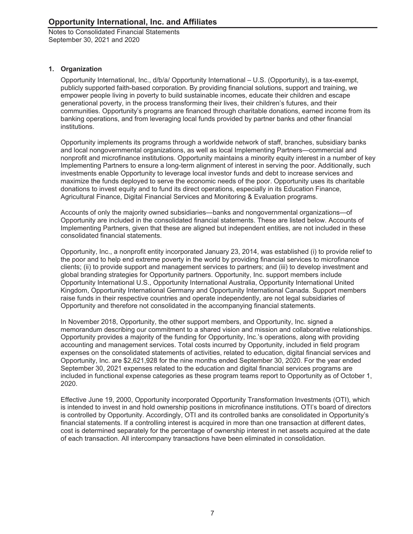# **1. Organization**

Opportunity International, Inc., d/b/a/ Opportunity International – U.S. (Opportunity), is a tax-exempt, publicly supported faith-based corporation. By providing financial solutions, support and training, we empower people living in poverty to build sustainable incomes, educate their children and escape generational poverty, in the process transforming their lives, their children's futures, and their communities. Opportunity's programs are financed through charitable donations, earned income from its banking operations, and from leveraging local funds provided by partner banks and other financial institutions.

Opportunity implements its programs through a worldwide network of staff, branches, subsidiary banks and local nongovernmental organizations, as well as local Implementing Partners—commercial and nonprofit and microfinance institutions. Opportunity maintains a minority equity interest in a number of key Implementing Partners to ensure a long-term alignment of interest in serving the poor. Additionally, such investments enable Opportunity to leverage local investor funds and debt to increase services and maximize the funds deployed to serve the economic needs of the poor. Opportunity uses its charitable donations to invest equity and to fund its direct operations, especially in its Education Finance, Agricultural Finance, Digital Financial Services and Monitoring & Evaluation programs.

Accounts of only the majority owned subsidiaries—banks and nongovernmental organizations—of Opportunity are included in the consolidated financial statements. These are listed below. Accounts of Implementing Partners, given that these are aligned but independent entities, are not included in these consolidated financial statements.

Opportunity, Inc., a nonprofit entity incorporated January 23, 2014, was established (i) to provide relief to the poor and to help end extreme poverty in the world by providing financial services to microfinance clients; (ii) to provide support and management services to partners; and (iii) to develop investment and global branding strategies for Opportunity partners. Opportunity, Inc. support members include Opportunity International U.S., Opportunity International Australia, Opportunity International United Kingdom, Opportunity International Germany and Opportunity International Canada. Support members raise funds in their respective countries and operate independently, are not legal subsidiaries of Opportunity and therefore not consolidated in the accompanying financial statements.

In November 2018, Opportunity, the other support members, and Opportunity, Inc. signed a memorandum describing our commitment to a shared vision and mission and collaborative relationships. Opportunity provides a majority of the funding for Opportunity, Inc.'s operations, along with providing accounting and management services. Total costs incurred by Opportunity, included in field program expenses on the consolidated statements of activities, related to education, digital financial services and Opportunity, Inc. are \$2,621,928 for the nine months ended September 30, 2020. For the year ended September 30, 2021 expenses related to the education and digital financial services programs are included in functional expense categories as these program teams report to Opportunity as of October 1, 2020.

Effective June 19, 2000, Opportunity incorporated Opportunity Transformation Investments (OTI), which is intended to invest in and hold ownership positions in microfinance institutions. OTI's board of directors is controlled by Opportunity. Accordingly, OTI and its controlled banks are consolidated in Opportunity's financial statements. If a controlling interest is acquired in more than one transaction at different dates, cost is determined separately for the percentage of ownership interest in net assets acquired at the date of each transaction. All intercompany transactions have been eliminated in consolidation.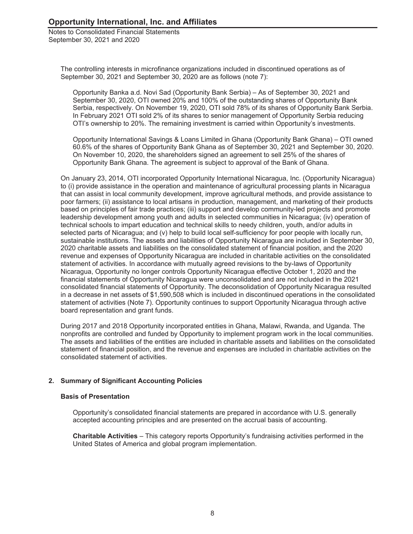The controlling interests in microfinance organizations included in discontinued operations as of September 30, 2021 and September 30, 2020 are as follows (note 7):

Opportunity Banka a.d. Novi Sad (Opportunity Bank Serbia) – As of September 30, 2021 and September 30, 2020, OTI owned 20% and 100% of the outstanding shares of Opportunity Bank Serbia, respectively. On November 19, 2020, OTI sold 78% of its shares of Opportunity Bank Serbia. In February 2021 OTI sold 2% of its shares to senior management of Opportunity Serbia reducing OTI's ownership to 20%. The remaining investment is carried within Opportunity's investments.

Opportunity International Savings & Loans Limited in Ghana (Opportunity Bank Ghana) – OTI owned 60.6% of the shares of Opportunity Bank Ghana as of September 30, 2021 and September 30, 2020. On November 10, 2020, the shareholders signed an agreement to sell 25% of the shares of Opportunity Bank Ghana. The agreement is subject to approval of the Bank of Ghana.

On January 23, 2014, OTI incorporated Opportunity International Nicaragua, Inc. (Opportunity Nicaragua) to (i) provide assistance in the operation and maintenance of agricultural processing plants in Nicaragua that can assist in local community development, improve agricultural methods, and provide assistance to poor farmers; (ii) assistance to local artisans in production, management, and marketing of their products based on principles of fair trade practices; (iii) support and develop community-led projects and promote leadership development among youth and adults in selected communities in Nicaragua; (iv) operation of technical schools to impart education and technical skills to needy children, youth, and/or adults in selected parts of Nicaragua; and (v) help to build local self-sufficiency for poor people with locally run, sustainable institutions. The assets and liabilities of Opportunity Nicaragua are included in September 30, 2020 charitable assets and liabilities on the consolidated statement of financial position, and the 2020 revenue and expenses of Opportunity Nicaragua are included in charitable activities on the consolidated statement of activities. In accordance with mutually agreed revisions to the by-laws of Opportunity Nicaragua, Opportunity no longer controls Opportunity Nicaragua effective October 1, 2020 and the financial statements of Opportunity Nicaragua were unconsolidated and are not included in the 2021 consolidated financial statements of Opportunity. The deconsolidation of Opportunity Nicaragua resulted in a decrease in net assets of \$1,590,508 which is included in discontinued operations in the consolidated statement of activities (Note 7). Opportunity continues to support Opportunity Nicaragua through active board representation and grant funds.

During 2017 and 2018 Opportunity incorporated entities in Ghana, Malawi, Rwanda, and Uganda. The nonprofits are controlled and funded by Opportunity to implement program work in the local communities. The assets and liabilities of the entities are included in charitable assets and liabilities on the consolidated statement of financial position, and the revenue and expenses are included in charitable activities on the consolidated statement of activities.

# **2. Summary of Significant Accounting Policies**

# **Basis of Presentation**

Opportunity's consolidated financial statements are prepared in accordance with U.S. generally accepted accounting principles and are presented on the accrual basis of accounting.

**Charitable Activities** – This category reports Opportunity's fundraising activities performed in the United States of America and global program implementation.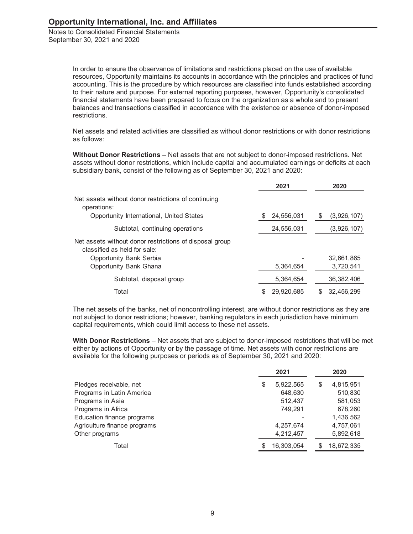> In order to ensure the observance of limitations and restrictions placed on the use of available resources, Opportunity maintains its accounts in accordance with the principles and practices of fund accounting. This is the procedure by which resources are classified into funds established according to their nature and purpose. For external reporting purposes, however, Opportunity's consolidated financial statements have been prepared to focus on the organization as a whole and to present balances and transactions classified in accordance with the existence or absence of donor-imposed restrictions.

> Net assets and related activities are classified as without donor restrictions or with donor restrictions as follows:

> **Without Donor Restrictions** – Net assets that are not subject to donor-imposed restrictions. Net assets without donor restrictions, which include capital and accumulated earnings or deficits at each subsidiary bank, consist of the following as of September 30, 2021 and 2020:

|                                                                                         | 2021            | 2020             |
|-----------------------------------------------------------------------------------------|-----------------|------------------|
| Net assets without donor restrictions of continuing<br>operations:                      |                 |                  |
| <b>Opportunity International, United States</b>                                         | 24,556,031<br>S | (3,926,107)<br>S |
| Subtotal, continuing operations                                                         | 24,556,031      | (3,926,107)      |
| Net assets without donor restrictions of disposal group<br>classified as held for sale: |                 |                  |
| Opportunity Bank Serbia                                                                 |                 | 32,661,865       |
| Opportunity Bank Ghana                                                                  | 5,364,654       | 3,720,541        |
| Subtotal, disposal group                                                                | 5,364,654       | 36,382,406       |
| Total                                                                                   | 29,920,685      | 32,456,299       |

The net assets of the banks, net of noncontrolling interest, are without donor restrictions as they are not subject to donor restrictions; however, banking regulators in each jurisdiction have minimum capital requirements, which could limit access to these net assets.

**With Donor Restrictions** – Net assets that are subject to donor-imposed restrictions that will be met either by actions of Opportunity or by the passage of time. Net assets with donor restrictions are available for the following purposes or periods as of September 30, 2021 and 2020:

|                              |    | 2021       | 2020            |
|------------------------------|----|------------|-----------------|
| Pledges receivable, net      | \$ | 5,922,565  | \$<br>4,815,951 |
| Programs in Latin America    |    | 648,630    | 510,830         |
| Programs in Asia             |    | 512,437    | 581,053         |
| Programs in Africa           |    | 749.291    | 678,260         |
| Education finance programs   |    |            | 1,436,562       |
| Agriculture finance programs |    | 4,257,674  | 4,757,061       |
| Other programs               |    | 4,212,457  | 5,892,618       |
| Total                        | S  | 16,303,054 | 18,672,335      |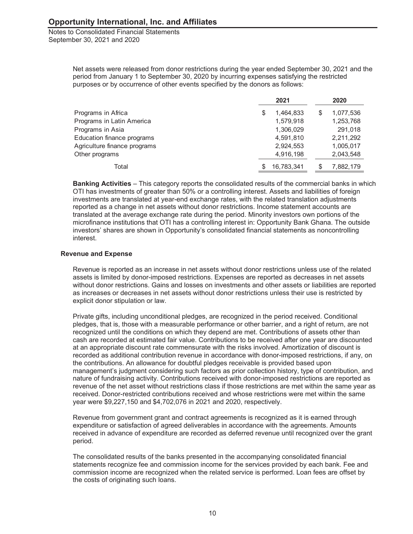Notes to Consolidated Financial Statements September 30, 2021 and 2020

> Net assets were released from donor restrictions during the year ended September 30, 2021 and the period from January 1 to September 30, 2020 by incurring expenses satisfying the restricted purposes or by occurrence of other events specified by the donors as follows:

|                              |    | 2021       |   | 2020      |
|------------------------------|----|------------|---|-----------|
| Programs in Africa           | \$ | 1,464,833  | S | 1,077,536 |
| Programs in Latin America    |    | 1,579,918  |   | 1,253,768 |
| Programs in Asia             |    | 1,306,029  |   | 291,018   |
| Education finance programs   |    | 4,591,810  |   | 2,211,292 |
| Agriculture finance programs |    | 2,924,553  |   | 1,005,017 |
| Other programs               |    | 4,916,198  |   | 2,043,548 |
| Total                        | S. | 16,783,341 |   | 7,882,179 |

**Banking Activities** – This category reports the consolidated results of the commercial banks in which OTI has investments of greater than 50% or a controlling interest. Assets and liabilities of foreign investments are translated at year-end exchange rates, with the related translation adjustments reported as a change in net assets without donor restrictions. Income statement accounts are translated at the average exchange rate during the period. Minority investors own portions of the microfinance institutions that OTI has a controlling interest in: Opportunity Bank Ghana. The outside investors' shares are shown in Opportunity's consolidated financial statements as noncontrolling interest.

### **Revenue and Expense**

Revenue is reported as an increase in net assets without donor restrictions unless use of the related assets is limited by donor-imposed restrictions. Expenses are reported as decreases in net assets without donor restrictions. Gains and losses on investments and other assets or liabilities are reported as increases or decreases in net assets without donor restrictions unless their use is restricted by explicit donor stipulation or law.

Private gifts, including unconditional pledges, are recognized in the period received. Conditional pledges, that is, those with a measurable performance or other barrier, and a right of return, are not recognized until the conditions on which they depend are met. Contributions of assets other than cash are recorded at estimated fair value. Contributions to be received after one year are discounted at an appropriate discount rate commensurate with the risks involved. Amortization of discount is recorded as additional contribution revenue in accordance with donor-imposed restrictions, if any, on the contributions. An allowance for doubtful pledges receivable is provided based upon management's judgment considering such factors as prior collection history, type of contribution, and nature of fundraising activity. Contributions received with donor-imposed restrictions are reported as revenue of the net asset without restrictions class if those restrictions are met within the same year as received. Donor-restricted contributions received and whose restrictions were met within the same year were \$9,227,150 and \$4,702,076 in 2021 and 2020, respectively.

Revenue from government grant and contract agreements is recognized as it is earned through expenditure or satisfaction of agreed deliverables in accordance with the agreements. Amounts received in advance of expenditure are recorded as deferred revenue until recognized over the grant period.

The consolidated results of the banks presented in the accompanying consolidated financial statements recognize fee and commission income for the services provided by each bank. Fee and commission income are recognized when the related service is performed. Loan fees are offset by the costs of originating such loans.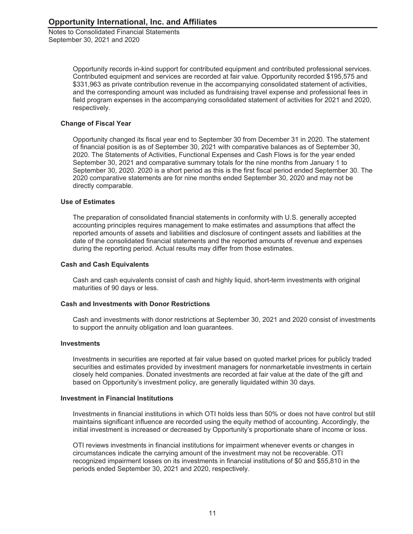> Opportunity records in-kind support for contributed equipment and contributed professional services. Contributed equipment and services are recorded at fair value. Opportunity recorded \$195,575 and \$331,963 as private contribution revenue in the accompanying consolidated statement of activities, and the corresponding amount was included as fundraising travel expense and professional fees in field program expenses in the accompanying consolidated statement of activities for 2021 and 2020, respectively.

### **Change of Fiscal Year**

Opportunity changed its fiscal year end to September 30 from December 31 in 2020. The statement of financial position is as of September 30, 2021 with comparative balances as of September 30, 2020. The Statements of Activities, Functional Expenses and Cash Flows is for the year ended September 30, 2021 and comparative summary totals for the nine months from January 1 to September 30, 2020. 2020 is a short period as this is the first fiscal period ended September 30. The 2020 comparative statements are for nine months ended September 30, 2020 and may not be directly comparable.

# **Use of Estimates**

The preparation of consolidated financial statements in conformity with U.S. generally accepted accounting principles requires management to make estimates and assumptions that affect the reported amounts of assets and liabilities and disclosure of contingent assets and liabilities at the date of the consolidated financial statements and the reported amounts of revenue and expenses during the reporting period. Actual results may differ from those estimates.

### **Cash and Cash Equivalents**

Cash and cash equivalents consist of cash and highly liquid, short-term investments with original maturities of 90 days or less.

### **Cash and Investments with Donor Restrictions**

Cash and investments with donor restrictions at September 30, 2021 and 2020 consist of investments to support the annuity obligation and loan guarantees.

### **Investments**

Investments in securities are reported at fair value based on quoted market prices for publicly traded securities and estimates provided by investment managers for nonmarketable investments in certain closely held companies. Donated investments are recorded at fair value at the date of the gift and based on Opportunity's investment policy, are generally liquidated within 30 days.

### **Investment in Financial Institutions**

Investments in financial institutions in which OTI holds less than 50% or does not have control but still maintains significant influence are recorded using the equity method of accounting. Accordingly, the initial investment is increased or decreased by Opportunity's proportionate share of income or loss.

OTI reviews investments in financial institutions for impairment whenever events or changes in circumstances indicate the carrying amount of the investment may not be recoverable. OTI recognized impairment losses on its investments in financial institutions of \$0 and \$55,810 in the periods ended September 30, 2021 and 2020, respectively.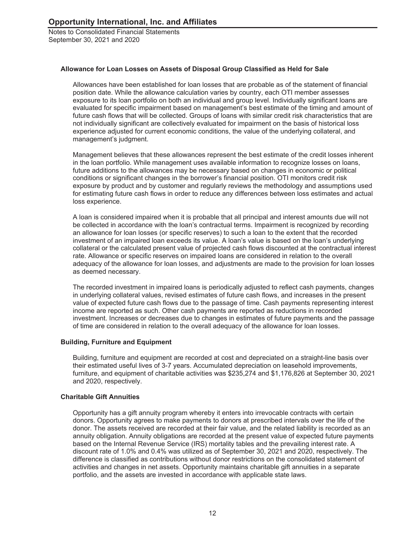### **Allowance for Loan Losses on Assets of Disposal Group Classified as Held for Sale**

Allowances have been established for loan losses that are probable as of the statement of financial position date. While the allowance calculation varies by country, each OTI member assesses exposure to its loan portfolio on both an individual and group level. Individually significant loans are evaluated for specific impairment based on management's best estimate of the timing and amount of future cash flows that will be collected. Groups of loans with similar credit risk characteristics that are not individually significant are collectively evaluated for impairment on the basis of historical loss experience adjusted for current economic conditions, the value of the underlying collateral, and management's judgment.

Management believes that these allowances represent the best estimate of the credit losses inherent in the loan portfolio. While management uses available information to recognize losses on loans, future additions to the allowances may be necessary based on changes in economic or political conditions or significant changes in the borrower's financial position. OTI monitors credit risk exposure by product and by customer and regularly reviews the methodology and assumptions used for estimating future cash flows in order to reduce any differences between loss estimates and actual loss experience.

A loan is considered impaired when it is probable that all principal and interest amounts due will not be collected in accordance with the loan's contractual terms. Impairment is recognized by recording an allowance for loan losses (or specific reserves) to such a loan to the extent that the recorded investment of an impaired loan exceeds its value. A loan's value is based on the loan's underlying collateral or the calculated present value of projected cash flows discounted at the contractual interest rate. Allowance or specific reserves on impaired loans are considered in relation to the overall adequacy of the allowance for loan losses, and adjustments are made to the provision for loan losses as deemed necessary.

The recorded investment in impaired loans is periodically adjusted to reflect cash payments, changes in underlying collateral values, revised estimates of future cash flows, and increases in the present value of expected future cash flows due to the passage of time. Cash payments representing interest income are reported as such. Other cash payments are reported as reductions in recorded investment. Increases or decreases due to changes in estimates of future payments and the passage of time are considered in relation to the overall adequacy of the allowance for loan losses.

### **Building, Furniture and Equipment**

Building, furniture and equipment are recorded at cost and depreciated on a straight-line basis over their estimated useful lives of 3-7 years. Accumulated depreciation on leasehold improvements, furniture, and equipment of charitable activities was \$235,274 and \$1,176,826 at September 30, 2021 and 2020, respectively.

# **Charitable Gift Annuities**

Opportunity has a gift annuity program whereby it enters into irrevocable contracts with certain donors. Opportunity agrees to make payments to donors at prescribed intervals over the life of the donor. The assets received are recorded at their fair value, and the related liability is recorded as an annuity obligation. Annuity obligations are recorded at the present value of expected future payments based on the Internal Revenue Service (IRS) mortality tables and the prevailing interest rate. A discount rate of 1.0% and 0.4% was utilized as of September 30, 2021 and 2020, respectively. The difference is classified as contributions without donor restrictions on the consolidated statement of activities and changes in net assets. Opportunity maintains charitable gift annuities in a separate portfolio, and the assets are invested in accordance with applicable state laws.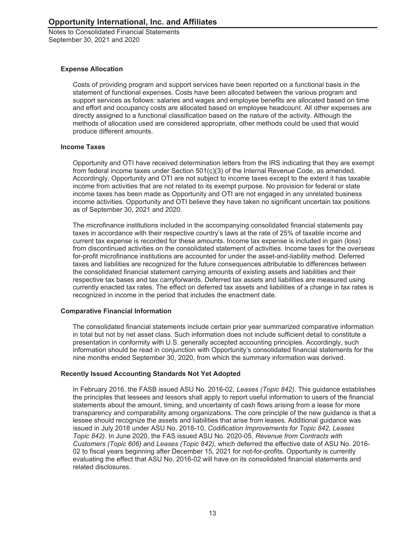# **Expense Allocation**

Costs of providing program and support services have been reported on a functional basis in the statement of functional expenses. Costs have been allocated between the various program and support services as follows: salaries and wages and employee benefits are allocated based on time and effort and occupancy costs are allocated based on employee headcount. All other expenses are directly assigned to a functional classification based on the nature of the activity. Although the methods of allocation used are considered appropriate, other methods could be used that would produce different amounts.

# **Income Taxes**

Opportunity and OTI have received determination letters from the IRS indicating that they are exempt from federal income taxes under Section 501(c)(3) of the Internal Revenue Code, as amended. Accordingly, Opportunity and OTI are not subject to income taxes except to the extent it has taxable income from activities that are not related to its exempt purpose. No provision for federal or state income taxes has been made as Opportunity and OTI are not engaged in any unrelated business income activities. Opportunity and OTI believe they have taken no significant uncertain tax positions as of September 30, 2021 and 2020.

The microfinance institutions included in the accompanying consolidated financial statements pay taxes in accordance with their respective country's laws at the rate of 25% of taxable income and current tax expense is recorded for these amounts. Income tax expense is included in gain (loss) from discontinued activities on the consolidated statement of activities. Income taxes for the overseas for-profit microfinance institutions are accounted for under the asset-and-liability method. Deferred taxes and liabilities are recognized for the future consequences attributable to differences between the consolidated financial statement carrying amounts of existing assets and liabilities and their respective tax bases and tax carryforwards. Deferred tax assets and liabilities are measured using currently enacted tax rates. The effect on deferred tax assets and liabilities of a change in tax rates is recognized in income in the period that includes the enactment date.

# **Comparative Financial Information**

The consolidated financial statements include certain prior year summarized comparative information in total but not by net asset class. Such information does not include sufficient detail to constitute a presentation in conformity with U.S. generally accepted accounting principles. Accordingly, such information should be read in conjunction with Opportunity's consolidated financial statements for the nine months ended September 30, 2020, from which the summary information was derived.

# **Recently Issued Accounting Standards Not Yet Adopted**

In February 2016, the FASB issued ASU No. 2016-02, *Leases (Topic 842)*. This guidance establishes the principles that lessees and lessors shall apply to report useful information to users of the financial statements about the amount, timing, and uncertainty of cash flows arising from a lease for more transparency and comparability among organizations. The core principle of the new guidance is that a lessee should recognize the assets and liabilities that arise from leases. Additional guidance was issued in July 2018 under ASU No. 2018-10, *Codification Improvements for Topic 842, Leases Topic 842)*. In June 2020, the FAS issued ASU No. 2020-05, *Revenue from Contracts with Customers (Topic 606)* and *Leases (Topic 842)*, which deferred the effective date of ASU No. 2016- 02 to fiscal years beginning after December 15, 2021 for not-for-profits. Opportunity is currently evaluating the effect that ASU No. 2016-02 will have on its consolidated financial statements and related disclosures.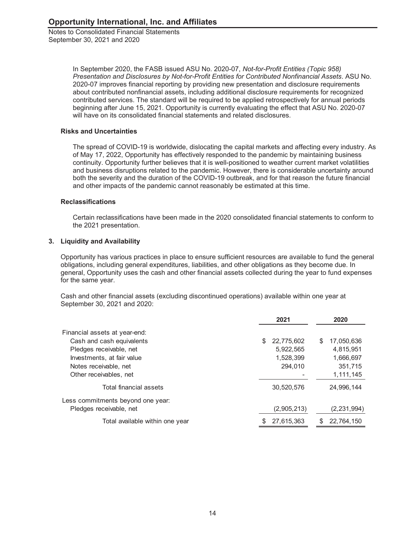> In September 2020, the FASB issued ASU No. 2020-07, *Not-for-Profit Entities (Topic 958) Presentation and Disclosures by Not-for-Profit Entities for Contributed Nonfinancial Assets*. ASU No. 2020-07 improves financial reporting by providing new presentation and disclosure requirements about contributed nonfinancial assets, including additional disclosure requirements for recognized contributed services. The standard will be required to be applied retrospectively for annual periods beginning after June 15, 2021. Opportunity is currently evaluating the effect that ASU No. 2020-07 will have on its consolidated financial statements and related disclosures.

### **Risks and Uncertainties**

The spread of COVID-19 is worldwide, dislocating the capital markets and affecting every industry. As of May 17, 2022, Opportunity has effectively responded to the pandemic by maintaining business continuity. Opportunity further believes that it is well-positioned to weather current market volatilities and business disruptions related to the pandemic. However, there is considerable uncertainty around both the severity and the duration of the COVID-19 outbreak, and for that reason the future financial and other impacts of the pandemic cannot reasonably be estimated at this time.

### **Reclassifications**

Certain reclassifications have been made in the 2020 consolidated financial statements to conform to the 2021 presentation.

### **3. Liquidity and Availability**

Opportunity has various practices in place to ensure sufficient resources are available to fund the general obligations, including general expenditures, liabilities, and other obligations as they become due. In general, Opportunity uses the cash and other financial assets collected during the year to fund expenses for the same year.

Cash and other financial assets (excluding discontinued operations) available within one year at September 30, 2021 and 2020:

|                                   | 2021             | 2020            |
|-----------------------------------|------------------|-----------------|
| Financial assets at year-end:     |                  |                 |
| Cash and cash equivalents         | \$<br>22,775,602 | 17,050,636<br>S |
| Pledges receivable, net           | 5.922.565        | 4.815.951       |
| Investments, at fair value        | 1,528,399        | 1,666,697       |
| Notes receivable, net             | 294.010          | 351,715         |
| Other receivables, net            |                  | 1, 111, 145     |
| Total financial assets            | 30,520,576       | 24,996,144      |
| Less commitments beyond one year: |                  |                 |
| Pledges receivable, net           | (2,905,213)      | (2, 231, 994)   |
| Total available within one year   | 27,615,363       | 22,764,150      |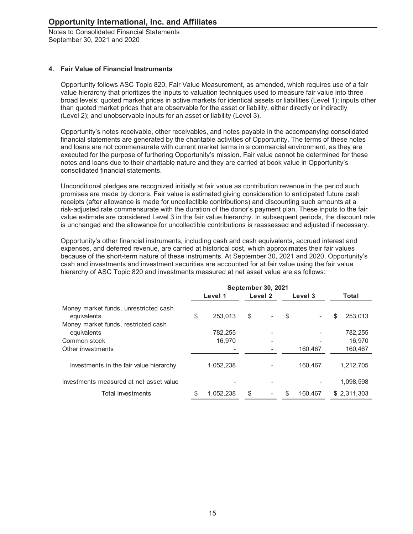# **4. Fair Value of Financial Instruments**

Opportunity follows ASC Topic 820, Fair Value Measurement, as amended, which requires use of a fair value hierarchy that prioritizes the inputs to valuation techniques used to measure fair value into three broad levels: quoted market prices in active markets for identical assets or liabilities (Level 1); inputs other than quoted market prices that are observable for the asset or liability, either directly or indirectly (Level 2); and unobservable inputs for an asset or liability (Level 3).

Opportunity's notes receivable, other receivables, and notes payable in the accompanying consolidated financial statements are generated by the charitable activities of Opportunity. The terms of these notes and loans are not commensurate with current market terms in a commercial environment, as they are executed for the purpose of furthering Opportunity's mission. Fair value cannot be determined for these notes and loans due to their charitable nature and they are carried at book value in Opportunity's consolidated financial statements.

Unconditional pledges are recognized initially at fair value as contribution revenue in the period such promises are made by donors. Fair value is estimated giving consideration to anticipated future cash receipts (after allowance is made for uncollectible contributions) and discounting such amounts at a risk-adjusted rate commensurate with the duration of the donor's payment plan. These inputs to the fair value estimate are considered Level 3 in the fair value hierarchy. In subsequent periods, the discount rate is unchanged and the allowance for uncollectible contributions is reassessed and adjusted if necessary.

Opportunity's other financial instruments, including cash and cash equivalents, accrued interest and expenses, and deferred revenue, are carried at historical cost, which approximates their fair values because of the short-term nature of these instruments. At September 30, 2021 and 2020, Opportunity's cash and investments and investment securities are accounted for at fair value using the fair value hierarchy of ASC Topic 820 and investments measured at net asset value are as follows:

|                                                      |                 |    | <b>September 30, 2021</b> |               |               |
|------------------------------------------------------|-----------------|----|---------------------------|---------------|---------------|
|                                                      | Level 1         |    | Level 2                   | Level 3       | Total         |
| Money market funds, unrestricted cash<br>equivalents | \$<br>253.013   | \$ |                           | \$<br>۰       | \$<br>253,013 |
| Money market funds, restricted cash                  |                 |    |                           |               |               |
| equivalents                                          | 782,255         |    |                           |               | 782,255       |
| Common stock                                         | 16,970          |    |                           |               | 16,970        |
| Other investments                                    |                 |    |                           | 160,467       | 160,467       |
| Investments in the fair value hierarchy              | 1,052,238       |    |                           | 160.467       | 1.212.705     |
| Investments measured at net asset value              |                 |    |                           |               | 1,098,598     |
| Total investments                                    | \$<br>1,052,238 | S  |                           | \$<br>160,467 | \$2,311,303   |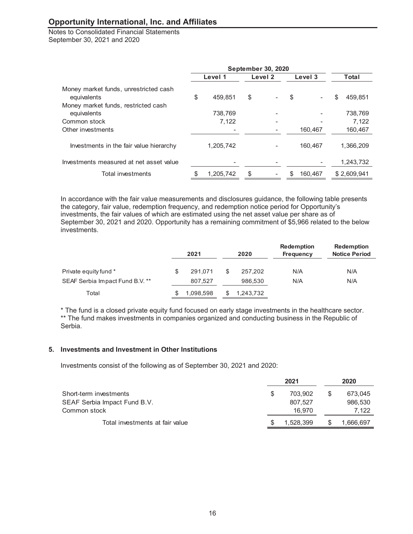Notes to Consolidated Financial Statements September 30, 2021 and 2020

|                                                      |                 | <b>September 30, 2020</b> |         |               |
|------------------------------------------------------|-----------------|---------------------------|---------|---------------|
|                                                      | Level 1         | Level 2                   | Level 3 | Total         |
| Money market funds, unrestricted cash<br>equivalents | \$<br>459.851   | \$                        | \$      | \$<br>459.851 |
| Money market funds, restricted cash<br>equivalents   | 738,769         |                           |         | 738,769       |
| Common stock                                         | 7,122           |                           |         | 7,122         |
| Other investments                                    |                 |                           | 160,467 | 160,467       |
| Investments in the fair value hierarchy              | 1,205,742       |                           | 160.467 | 1.366.209     |
| Investments measured at net asset value              |                 |                           |         | 1,243,732     |
| Total investments                                    | \$<br>1,205,742 | \$                        | 160.467 | \$2,609,941   |

In accordance with the fair value measurements and disclosures guidance, the following table presents the category, fair value, redemption frequency, and redemption notice period for Opportunity's investments, the fair values of which are estimated using the net asset value per share as of September 30, 2021 and 2020. Opportunity has a remaining commitment of \$5,966 related to the below investments.

|                                 | 2021      | 2020      | <b>Redemption</b><br><b>Frequency</b> | <b>Redemption</b><br><b>Notice Period</b> |
|---------------------------------|-----------|-----------|---------------------------------------|-------------------------------------------|
| Private equity fund *           | 291.071   | 257.202   | N/A                                   | N/A                                       |
| SEAF Serbia Impact Fund B.V. ** | 807.527   | 986,530   | N/A                                   | N/A                                       |
| Total                           | 1,098,598 | 1,243,732 |                                       |                                           |

\* The fund is a closed private equity fund focused on early stage investments in the healthcare sector. \*\* The fund makes investments in companies organized and conducting business in the Republic of Serbia.

### **5. Investments and Investment in Other Institutions**

Investments consist of the following as of September 30, 2021 and 2020:

|                                 | 2021 |           |  | 2020      |
|---------------------------------|------|-----------|--|-----------|
| Short-term investments          | S    | 703.902   |  | 673.045   |
| SEAF Serbia Impact Fund B.V.    |      | 807.527   |  | 986,530   |
| Common stock                    |      | 16.970    |  | 7.122     |
| Total investments at fair value |      | 1.528.399 |  | 1,666,697 |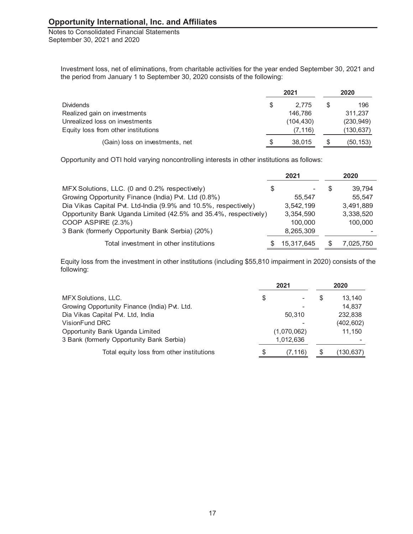Notes to Consolidated Financial Statements September 30, 2021 and 2020

Investment loss, net of eliminations, from charitable activities for the year ended September 30, 2021 and the period from January 1 to September 30, 2020 consists of the following:

|                                     | 2021 |            |   | 2020       |  |  |
|-------------------------------------|------|------------|---|------------|--|--|
| <b>Dividends</b>                    | \$   | 2.775      | S | 196        |  |  |
| Realized gain on investments        |      | 146.786    |   | 311,237    |  |  |
| Unrealized loss on investments      |      | (104, 430) |   | (230, 949) |  |  |
| Equity loss from other institutions |      | (7, 116)   |   | (130,637)  |  |  |
| (Gain) loss on investments, net     | S    | 38.015     |   | (50, 153)  |  |  |

Opportunity and OTI hold varying noncontrolling interests in other institutions as follows:

|                                                                 | 2021       |   | 2020      |
|-----------------------------------------------------------------|------------|---|-----------|
| MFX Solutions, LLC. (0 and 0.2% respectively)                   | \$         | S | 39.794    |
| Growing Opportunity Finance (India) Pvt. Ltd (0.8%)             | 55.547     |   | 55.547    |
| Dia Vikas Capital Pvt. Ltd-India (9.9% and 10.5%, respectively) | 3,542,199  |   | 3,491,889 |
| Opportunity Bank Uganda Limited (42.5% and 35.4%, respectively) | 3,354,590  |   | 3,338,520 |
| COOP ASPIRE (2.3%)                                              | 100.000    |   | 100,000   |
| 3 Bank (formerly Opportunity Bank Serbia) (20%)                 | 8,265,309  |   |           |
| Total investment in other institutions                          | 15,317,645 |   | 7,025,750 |

Equity loss from the investment in other institutions (including \$55,810 impairment in 2020) consists of the following:

|                                               | 2021        | 2020 |            |  |
|-----------------------------------------------|-------------|------|------------|--|
| MFX Solutions, LLC.                           | \$          | S    | 13.140     |  |
| Growing Opportunity Finance (India) Pvt. Ltd. |             |      | 14,837     |  |
| Dia Vikas Capital Pvt. Ltd, India             | 50.310      |      | 232,838    |  |
| VisionFund DRC                                |             |      | (402, 602) |  |
| Opportunity Bank Uganda Limited               | (1,070,062) |      | 11.150     |  |
| 3 Bank (formerly Opportunity Bank Serbia)     | 1,012,636   |      |            |  |
| Total equity loss from other institutions     | (7, 116)    | S    | (130,637)  |  |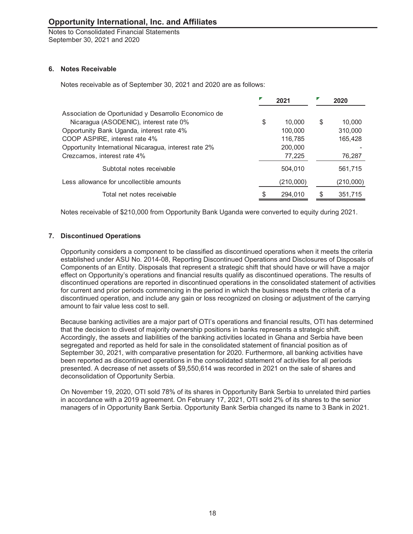Notes to Consolidated Financial Statements September 30, 2021 and 2020

# **6. Notes Receivable**

Notes receivable as of September 30, 2021 and 2020 are as follows:

|                                                       | 2021         |   | 2020      |
|-------------------------------------------------------|--------------|---|-----------|
| Association de Oportunidad y Desarrollo Economico de  |              |   |           |
| Nicaragua (ASODENIC), interest rate 0%                | \$<br>10,000 | S | 10,000    |
| Opportunity Bank Uganda, interest rate 4%             | 100,000      |   | 310,000   |
| COOP ASPIRE, interest rate 4%                         | 116,785      |   | 165,428   |
| Opportunity International Nicaragua, interest rate 2% | 200,000      |   |           |
| Crezcamos, interest rate 4%                           | 77,225       |   | 76,287    |
| Subtotal notes receivable                             | 504.010      |   | 561,715   |
| Less allowance for uncollectible amounts              | (210,000)    |   | (210,000) |
| Total net notes receivable                            | 294,010      |   | 351,715   |

Notes receivable of \$210,000 from Opportunity Bank Uganda were converted to equity during 2021.

# **7. Discontinued Operations**

Opportunity considers a component to be classified as discontinued operations when it meets the criteria established under ASU No. 2014-08, Reporting Discontinued Operations and Disclosures of Disposals of Components of an Entity. Disposals that represent a strategic shift that should have or will have a major effect on Opportunity's operations and financial results qualify as discontinued operations. The results of discontinued operations are reported in discontinued operations in the consolidated statement of activities for current and prior periods commencing in the period in which the business meets the criteria of a discontinued operation, and include any gain or loss recognized on closing or adjustment of the carrying amount to fair value less cost to sell.

Because banking activities are a major part of OTI's operations and financial results, OTI has determined that the decision to divest of majority ownership positions in banks represents a strategic shift. Accordingly, the assets and liabilities of the banking activities located in Ghana and Serbia have been segregated and reported as held for sale in the consolidated statement of financial position as of September 30, 2021, with comparative presentation for 2020. Furthermore, all banking activities have been reported as discontinued operations in the consolidated statement of activities for all periods presented. A decrease of net assets of \$9,550,614 was recorded in 2021 on the sale of shares and deconsolidation of Opportunity Serbia.

On November 19, 2020, OTI sold 78% of its shares in Opportunity Bank Serbia to unrelated third parties in accordance with a 2019 agreement. On February 17, 2021, OTI sold 2% of its shares to the senior managers of in Opportunity Bank Serbia. Opportunity Bank Serbia changed its name to 3 Bank in 2021.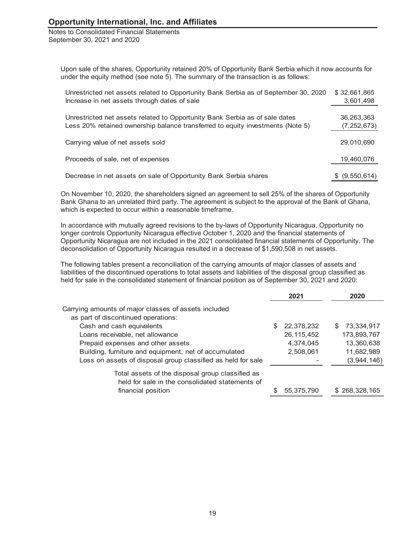Notes to Consolidated Financial Statements September 30, 2021 and 2020

Upon sale of the shares, Opportunity retained 20% of Opportunity Bank Serbia which it now accounts for under the equity method (see note 5). The summary of the transaction is as follows:

| Unrestricted net assets related to Opportunity Bank Serbia as of September 30, 2020<br>Increase in net assets through dates of sale | \$32,661,865<br>3,601,498 |
|-------------------------------------------------------------------------------------------------------------------------------------|---------------------------|
|                                                                                                                                     |                           |
| Unrestricted net assets related to Opportunity Bank Serbia as of sale dates                                                         | 36,263,363                |
| Less 20% retained ownership balance transferred to equity investments (Note 5)                                                      | (7, 252, 673)             |
| Carrying value of net assets sold                                                                                                   | 29,010,690                |
| Proceeds of sale, net of expenses                                                                                                   | 19,460,076                |
| Decrease in net assets on sale of Opportunity Bank Serbia shares                                                                    | \$ (9,550,614)            |

On November 10, 2020, the shareholders signed an agreement to sell 25% of the shares of Opportunity Bank Ghana to an unrelated third party. The agreement is subject to the approval of the Bank of Ghana, which is expected to occur within a reasonable timeframe.

In accordance with mutually agreed revisions to the by-laws of Opportunity Nicaragua, Opportunity no longer controls Opportunity Nicaragua effective October 1, 2020 and the financial statements of Opportunity Nicaragua are not included in the 2021 consolidated financial statements of Opportunity. The deconsolidation of Opportunity Nicaragua resulted in a decrease of \$1,590,508 in net assets.

The following tables present a reconciliation of the carrying amounts of major classes of assets and liabilities of the discontinued operations to total assets and liabilities of the disposal group classified as held for sale in the consolidated statement of financial position as of September 30, 2021 and 2020:

| 73,334,917    |
|---------------|
| 173,893,767   |
| 13,360,638    |
| 11,682,989    |
| (3,944,146)   |
|               |
|               |
| \$268,328,165 |
|               |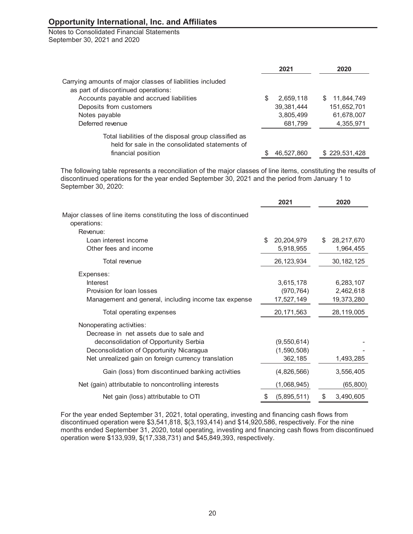Notes to Consolidated Financial Statements September 30, 2021 and 2020

|                                                           |   | 2021       | 2020             |
|-----------------------------------------------------------|---|------------|------------------|
| Carrying amounts of major classes of liabilities included |   |            |                  |
| as part of discontinued operations:                       |   |            |                  |
| Accounts payable and accrued liabilities                  | S | 2,659,118  | 11,844,749<br>S. |
| Deposits from customers                                   |   | 39,381,444 | 151,652,701      |
| Notes payable                                             |   | 3,805,499  | 61,678,007       |
| Deferred revenue                                          |   | 681,799    | 4,355,971        |
| Total liabilities of the disposal group classified as     |   |            |                  |
| held for sale in the consolidated statements of           |   |            |                  |
| financial position                                        |   | 46,527,860 | \$229,531,428    |

The following table represents a reconciliation of the major classes of line items, constituting the results of discontinued operations for the year ended September 30, 2021 and the period from January 1 to September 30, 2020:

|                                                                                  |    | 2021         | 2020             |
|----------------------------------------------------------------------------------|----|--------------|------------------|
| Major classes of line items constituting the loss of discontinued<br>operations: |    |              |                  |
| Revenue:                                                                         |    |              |                  |
| Loan interest income                                                             | \$ | 20,204,979   | \$<br>28,217,670 |
| Other fees and income                                                            |    | 5,918,955    | 1,964,455        |
| <b>Total revenue</b>                                                             |    | 26, 123, 934 | 30, 182, 125     |
| Expenses:                                                                        |    |              |                  |
| Interest                                                                         |    | 3,615,178    | 6,283,107        |
| Provision for loan losses                                                        |    | (970,764)    | 2,462,618        |
| Management and general, including income tax expense                             |    | 17,527,149   | 19,373,280       |
| Total operating expenses                                                         |    | 20, 171, 563 | 28,119,005       |
| Nonoperating activities:                                                         |    |              |                  |
| Decrease in net assets due to sale and                                           |    |              |                  |
| deconsolidation of Opportunity Serbia                                            |    | (9,550,614)  |                  |
| Deconsolidation of Opportunity Nicaragua                                         |    | (1,590,508)  |                  |
| Net unrealized gain on foreign currency translation                              |    | 362,185      | 1,493,285        |
| Gain (loss) from discontinued banking activities                                 |    | (4,826,566)  | 3,556,405        |
| Net (gain) attributable to noncontrolling interests                              |    | (1,068,945)  | (65, 800)        |
| Net gain (loss) attributable to OTI                                              | \$ | (5,895,511)  | \$<br>3,490,605  |

For the year ended September 31, 2021, total operating, investing and financing cash flows from discontinued operation were \$3,541,818, \$(3,193,414) and \$14,920,586, respectively. For the nine months ended September 31, 2020, total operating, investing and financing cash flows from discontinued operation were \$133,939, \$(17,338,731) and \$45,849,393, respectively.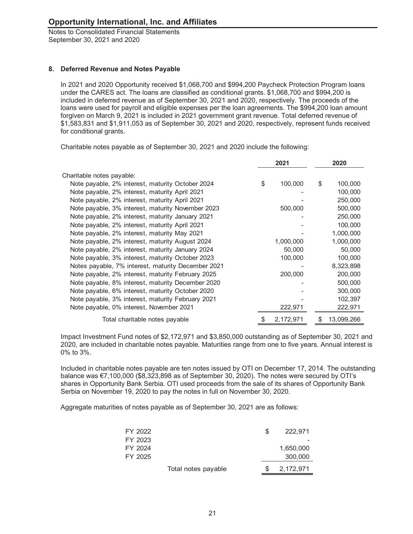# **8. Deferred Revenue and Notes Payable**

In 2021 and 2020 Opportunity received \$1,068,700 and \$994,200 Paycheck Protection Program loans under the CARES act. The loans are classified as conditional grants. \$1,068,700 and \$994,200 is included in deferred revenue as of September 30, 2021 and 2020, respectively. The proceeds of the loans were used for payroll and eligible expenses per the loan agreements. The \$994,200 loan amount forgiven on March 9, 2021 is included in 2021 government grant revenue. Total deferred revenue of \$1,583,831 and \$1,911,053 as of September 30, 2021 and 2020, respectively, represent funds received for conditional grants.

Charitable notes payable as of September 30, 2021 and 2020 include the following:

|                                                    | 2021 |           |    | 2020       |
|----------------------------------------------------|------|-----------|----|------------|
| Charitable notes payable:                          |      |           |    |            |
| Note payable, 2% interest, maturity October 2024   | \$   | 100,000   | \$ | 100,000    |
| Note payable, 2% interest, maturity April 2021     |      |           |    | 100,000    |
| Note payable, 2% interest, maturity April 2021     |      |           |    | 250,000    |
| Note payable, 3% interest, maturity November 2023  |      | 500,000   |    | 500,000    |
| Note payable, 2% interest, maturity January 2021   |      |           |    | 250,000    |
| Note payable, 2% interest, maturity April 2021     |      |           |    | 100,000    |
| Note payable, 2% interest, maturity May 2021       |      |           |    | 1,000,000  |
| Note payable, 2% interest, maturity August 2024    |      | 1,000,000 |    | 1,000,000  |
| Note payable, 2% interest, maturity January 2024   |      | 50,000    |    | 50,000     |
| Note payable, 3% interest, maturity October 2023   |      | 100,000   |    | 100,000    |
| Notes payable, 7% interest, maturity December 2021 |      |           |    | 8,323,898  |
| Note payable, 2% interest, maturity February 2025  |      | 200,000   |    | 200,000    |
| Note payable, 8% interest, maturity December 2020  |      |           |    | 500,000    |
| Note payable, 6% interest, maturity October 2020   |      |           |    | 300,000    |
| Note payable, 3% interest, maturity February 2021  |      |           |    | 102,397    |
| Note payable, 0% interest, November 2021           |      | 222,971   |    | 222,971    |
| Total charitable notes payable                     | \$   | 2,172,971 | \$ | 13,099,266 |

Impact Investment Fund notes of \$2,172,971 and \$3,850,000 outstanding as of September 30, 2021 and 2020, are included in charitable notes payable. Maturities range from one to five years. Annual interest is 0% to 3%.

Included in charitable notes payable are ten notes issued by OTI on December 17, 2014. The outstanding balance was €7,100,000 (\$8,323,898 as of September 30, 2020). The notes were secured by OTI's shares in Opportunity Bank Serbia. OTI used proceeds from the sale of its shares of Opportunity Bank Serbia on November 19, 2020 to pay the notes in full on November 30, 2020.

Aggregate maturities of notes payable as of September 30, 2021 are as follows:

| FY 2022 |                     | S | 222,971   |
|---------|---------------------|---|-----------|
| FY 2023 |                     |   |           |
| FY 2024 |                     |   | 1,650,000 |
| FY 2025 |                     |   | 300,000   |
|         | Total notes payable |   | 2,172,971 |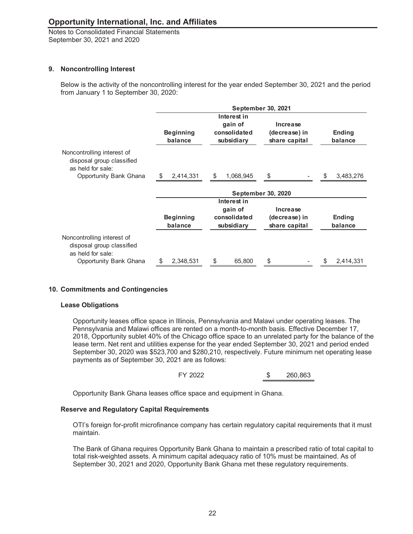Notes to Consolidated Financial Statements September 30, 2021 and 2020

# **9. Noncontrolling Interest**

Below is the activity of the noncontrolling interest for the year ended September 30, 2021 and the period from January 1 to September 30, 2020:

|                                                                              | <b>September 30, 2021</b>   |    |                                        |    |                                |    |                          |
|------------------------------------------------------------------------------|-----------------------------|----|----------------------------------------|----|--------------------------------|----|--------------------------|
|                                                                              | <b>Beginning</b>            |    | Interest in<br>gain of<br>consolidated |    | Increase<br>(decrease) in      |    | <b>Ending</b>            |
|                                                                              | balance                     |    | subsidiary                             |    | share capital                  |    | balance                  |
| Noncontrolling interest of<br>disposal group classified<br>as held for sale: |                             |    |                                        |    |                                |    |                          |
| Opportunity Bank Ghana                                                       | \$<br>2,414,331             | \$ | 1,068,945                              | \$ |                                |    | 3,483,276                |
|                                                                              |                             |    | September 30, 2020                     |    |                                |    |                          |
|                                                                              |                             |    | Interest in                            |    | Increase                       |    |                          |
|                                                                              | <b>Beginning</b><br>balance |    | gain of<br>consolidated<br>subsidiary  |    | (decrease) in<br>share capital |    | <b>Ending</b><br>balance |
| Noncontrolling interest of<br>disposal group classified<br>as held for sale: |                             |    |                                        |    |                                |    |                          |
| Opportunity Bank Ghana                                                       | \$<br>2,348,531             | \$ | 65,800                                 | \$ |                                | \$ | 2.414.331                |

# **10. Commitments and Contingencies**

### **Lease Obligations**

Opportunity leases office space in Illinois, Pennsylvania and Malawi under operating leases. The Pennsylvania and Malawi offices are rented on a month-to-month basis. Effective December 17, 2018, Opportunity sublet 40% of the Chicago office space to an unrelated party for the balance of the lease term. Net rent and utilities expense for the year ended September 30, 2021 and period ended September 30, 2020 was \$523,700 and \$280,210, respectively. Future minimum net operating lease payments as of September 30, 2021 are as follows:

FY 2022 \$260,863

Opportunity Bank Ghana leases office space and equipment in Ghana.

# **Reserve and Regulatory Capital Requirements**

OTI's foreign for-profit microfinance company has certain regulatory capital requirements that it must maintain.

The Bank of Ghana requires Opportunity Bank Ghana to maintain a prescribed ratio of total capital to total risk-weighted assets. A minimum capital adequacy ratio of 10% must be maintained. As of September 30, 2021 and 2020, Opportunity Bank Ghana met these regulatory requirements.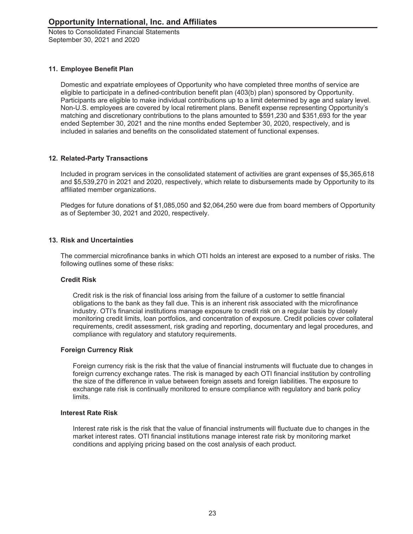# **11. Employee Benefit Plan**

Domestic and expatriate employees of Opportunity who have completed three months of service are eligible to participate in a defined-contribution benefit plan (403(b) plan) sponsored by Opportunity. Participants are eligible to make individual contributions up to a limit determined by age and salary level. Non-U.S. employees are covered by local retirement plans. Benefit expense representing Opportunity's matching and discretionary contributions to the plans amounted to \$591,230 and \$351,693 for the year ended September 30, 2021 and the nine months ended September 30, 2020, respectively, and is included in salaries and benefits on the consolidated statement of functional expenses.

### **12. Related-Party Transactions**

Included in program services in the consolidated statement of activities are grant expenses of \$5,365,618 and \$5,539,270 in 2021 and 2020, respectively, which relate to disbursements made by Opportunity to its affiliated member organizations.

Pledges for future donations of \$1,085,050 and \$2,064,250 were due from board members of Opportunity as of September 30, 2021 and 2020, respectively.

### **13. Risk and Uncertainties**

The commercial microfinance banks in which OTI holds an interest are exposed to a number of risks. The following outlines some of these risks:

### **Credit Risk**

Credit risk is the risk of financial loss arising from the failure of a customer to settle financial obligations to the bank as they fall due. This is an inherent risk associated with the microfinance industry. OTI's financial institutions manage exposure to credit risk on a regular basis by closely monitoring credit limits, loan portfolios, and concentration of exposure. Credit policies cover collateral requirements, credit assessment, risk grading and reporting, documentary and legal procedures, and compliance with regulatory and statutory requirements.

### **Foreign Currency Risk**

Foreign currency risk is the risk that the value of financial instruments will fluctuate due to changes in foreign currency exchange rates. The risk is managed by each OTI financial institution by controlling the size of the difference in value between foreign assets and foreign liabilities. The exposure to exchange rate risk is continually monitored to ensure compliance with regulatory and bank policy limits.

### **Interest Rate Risk**

Interest rate risk is the risk that the value of financial instruments will fluctuate due to changes in the market interest rates. OTI financial institutions manage interest rate risk by monitoring market conditions and applying pricing based on the cost analysis of each product.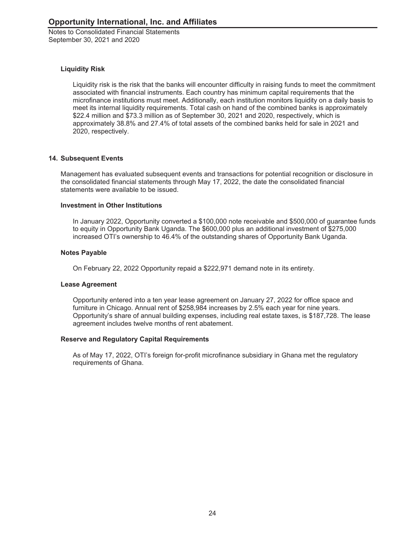# **Liquidity Risk**

Liquidity risk is the risk that the banks will encounter difficulty in raising funds to meet the commitment associated with financial instruments. Each country has minimum capital requirements that the microfinance institutions must meet. Additionally, each institution monitors liquidity on a daily basis to meet its internal liquidity requirements. Total cash on hand of the combined banks is approximately \$22.4 million and \$73.3 million as of September 30, 2021 and 2020, respectively, which is approximately 38.8% and 27.4% of total assets of the combined banks held for sale in 2021 and 2020, respectively.

# **14. Subsequent Events**

Management has evaluated subsequent events and transactions for potential recognition or disclosure in the consolidated financial statements through May 17, 2022, the date the consolidated financial statements were available to be issued.

### **Investment in Other Institutions**

In January 2022, Opportunity converted a \$100,000 note receivable and \$500,000 of guarantee funds to equity in Opportunity Bank Uganda. The \$600,000 plus an additional investment of \$275,000 increased OTI's ownership to 46.4% of the outstanding shares of Opportunity Bank Uganda.

### **Notes Payable**

On February 22, 2022 Opportunity repaid a \$222,971 demand note in its entirety.

### **Lease Agreement**

Opportunity entered into a ten year lease agreement on January 27, 2022 for office space and furniture in Chicago. Annual rent of \$258,984 increases by 2.5% each year for nine years. Opportunity's share of annual building expenses, including real estate taxes, is \$187,728. The lease agreement includes twelve months of rent abatement.

### **Reserve and Regulatory Capital Requirements**

As of May 17, 2022, OTI's foreign for-profit microfinance subsidiary in Ghana met the regulatory requirements of Ghana.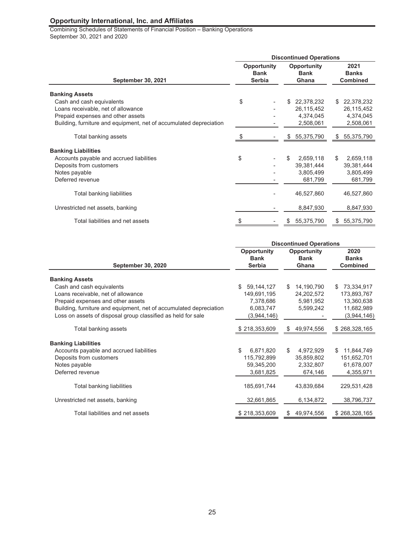Combining Schedules of Statements of Financial Position – Banking Operations September 30, 2021 and 2020

|                                                                    | <b>Discontinued Operations</b> |                                             |    |                                            |    |                                         |  |
|--------------------------------------------------------------------|--------------------------------|---------------------------------------------|----|--------------------------------------------|----|-----------------------------------------|--|
| <b>September 30, 2021</b>                                          |                                | Opportunity<br><b>Bank</b><br><b>Serbia</b> |    | <b>Opportunity</b><br><b>Bank</b><br>Ghana |    | 2021<br><b>Banks</b><br><b>Combined</b> |  |
| <b>Banking Assets</b>                                              |                                |                                             |    |                                            |    |                                         |  |
| Cash and cash equivalents                                          | \$                             |                                             | \$ | 22,378,232                                 | S. | 22,378,232                              |  |
| Loans receivable, net of allowance                                 |                                |                                             |    | 26,115,452                                 |    | 26,115,452                              |  |
| Prepaid expenses and other assets                                  |                                |                                             |    | 4,374,045                                  |    | 4,374,045                               |  |
| Building, furniture and equipment, net of accumulated depreciation |                                |                                             |    | 2,508,061                                  |    | 2,508,061                               |  |
| Total banking assets                                               |                                |                                             | \$ | 55,375,790                                 | S  | 55,375,790                              |  |
| <b>Banking Liabilities</b>                                         |                                |                                             |    |                                            |    |                                         |  |
| Accounts payable and accrued liabilities                           | \$                             |                                             | \$ | 2,659,118                                  | \$ | 2,659,118                               |  |
| Deposits from customers                                            |                                |                                             |    | 39,381,444                                 |    | 39,381,444                              |  |
| Notes payable                                                      |                                |                                             |    | 3,805,499                                  |    | 3,805,499                               |  |
| Deferred revenue                                                   |                                |                                             |    | 681,799                                    |    | 681,799                                 |  |
| Total banking liabilities                                          |                                |                                             |    | 46,527,860                                 |    | 46,527,860                              |  |
| Unrestricted net assets, banking                                   |                                |                                             |    | 8,847,930                                  |    | 8,847,930                               |  |
| Total liabilities and net assets                                   | \$                             |                                             | \$ | 55,375,790                                 | \$ | 55,375,790                              |  |

|                                                                    | <b>Discontinued Operations</b> |                            |                                         |  |
|--------------------------------------------------------------------|--------------------------------|----------------------------|-----------------------------------------|--|
|                                                                    | Opportunity<br><b>Bank</b>     | Opportunity<br><b>Bank</b> | 2020<br><b>Banks</b><br><b>Combined</b> |  |
| <b>September 30, 2020</b>                                          | Serbia                         | Ghana                      |                                         |  |
| <b>Banking Assets</b>                                              |                                |                            |                                         |  |
| Cash and cash equivalents                                          | 59,144,127<br>\$               | 14,190,790<br>\$           | 73,334,917<br>\$                        |  |
| Loans receivable, net of allowance                                 | 149,691,195                    | 24,202,572                 | 173,893,767                             |  |
| Prepaid expenses and other assets                                  | 7,378,686                      | 5,981,952                  | 13,360,638                              |  |
| Building, furniture and equipment, net of accumulated depreciation | 6,083,747                      | 5,599,242                  | 11,682,989                              |  |
| Loss on assets of disposal group classified as held for sale       | (3,944,146)                    |                            | (3,944,146)                             |  |
|                                                                    |                                |                            |                                         |  |
| Total banking assets                                               | \$218,353,609                  | 49,974,556<br>\$           | \$268,328,165                           |  |
| <b>Banking Liabilities</b>                                         |                                |                            |                                         |  |
| Accounts payable and accrued liabilities                           | \$<br>6,871,820                | 4,972,929<br>\$            | 11,844,749<br>\$                        |  |
| Deposits from customers                                            | 115,792,899                    | 35,859,802                 | 151,652,701                             |  |
| Notes payable                                                      | 59,345,200                     | 2,332,807                  | 61,678,007                              |  |
| Deferred revenue                                                   | 3,681,825                      | 674,146                    | 4,355,971                               |  |
| Total banking liabilities                                          | 185,691,744                    | 43,839,684                 | 229,531,428                             |  |
| Unrestricted net assets, banking                                   | 32,661,865                     | 6,134,872                  | 38,796,737                              |  |
| Total liabilities and net assets                                   | \$218,353,609                  | 49,974,556<br>S            | \$268,328,165                           |  |